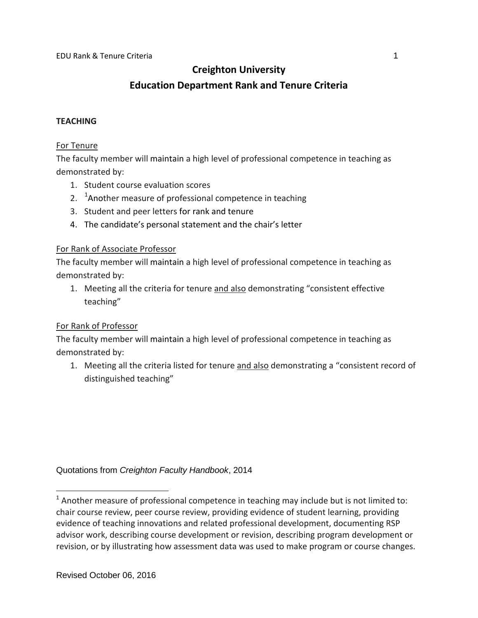# **Creighton University**

# **Education Department Rank and Tenure Criteria**

#### **TEACHING**

#### For Tenure

The faculty member will maintain a high level of professional competence in teaching as demonstrated by:

- 1. Student course evaluation scores
- 2. <sup>[1](#page-0-0)</sup>Another measure of professional competence in teaching
- 3. Student and peer letters for rank and tenure
- 4. The candidate's personal statement and the chair's letter

## For Rank of Associate Professor

The faculty member will maintain a high level of professional competence in teaching as demonstrated by:

1. Meeting all the criteria for tenure and also demonstrating "consistent effective teaching"

# For Rank of Professor

The faculty member will maintain a high level of professional competence in teaching as demonstrated by:

1. Meeting all the criteria listed for tenure and also demonstrating a "consistent record of distinguished teaching"

Quotations from *Creighton Faculty Handbook*, 2014

<span id="page-0-0"></span> $1$  Another measure of professional competence in teaching may include but is not limited to: chair course review, peer course review, providing evidence of student learning, providing evidence of teaching innovations and related professional development, documenting RSP advisor work, describing course development or revision, describing program development or revision, or by illustrating how assessment data was used to make program or course changes.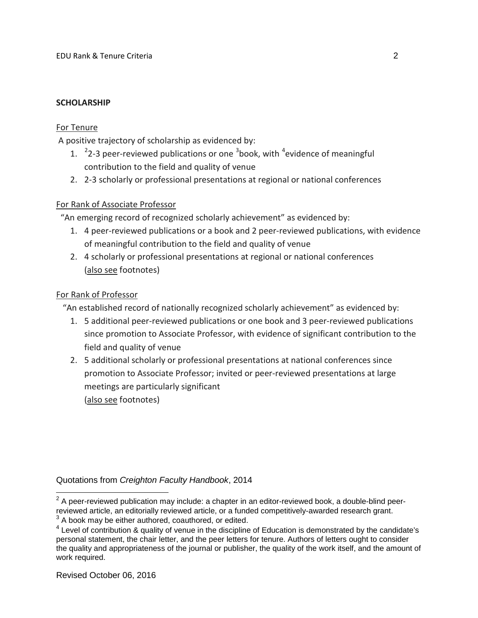#### **SCHOLARSHIP**

#### For Tenure

A positive trajectory of scholarship as evidenced by:

- 1.  $2$ -[3](#page-1-1) peer-reviewed publications or one  $3$ book, with  $4$ evidence of meaningful contribution to the field and quality of venue
- 2. 2-3 scholarly or professional presentations at regional or national conferences

## For Rank of Associate Professor

"An emerging record of recognized scholarly achievement" as evidenced by:

- 1. 4 peer-reviewed publications or a book and 2 peer-reviewed publications, with evidence of meaningful contribution to the field and quality of venue
- 2. 4 scholarly or professional presentations at regional or national conferences (also see footnotes)

## For Rank of Professor

"An established record of nationally recognized scholarly achievement" as evidenced by:

- 1. 5 additional peer-reviewed publications or one book and 3 peer-reviewed publications since promotion to Associate Professor, with evidence of significant contribution to the field and quality of venue
- 2. 5 additional scholarly or professional presentations at national conferences since promotion to Associate Professor; invited or peer-reviewed presentations at large meetings are particularly significant (also see footnotes)

Quotations from *Creighton Faculty Handbook*, 2014

<span id="page-1-0"></span> $2$  A peer-reviewed publication may include: a chapter in an editor-reviewed book, a double-blind peerreviewed article, an editorially reviewed article, or a funded competitively-awarded research grant.

<span id="page-1-1"></span> $3$  A book may be either authored, coauthored, or edited.

<span id="page-1-2"></span><sup>&</sup>lt;sup>4</sup> Level of contribution & quality of venue in the discipline of Education is demonstrated by the candidate's personal statement, the chair letter, and the peer letters for tenure. Authors of letters ought to consider the quality and appropriateness of the journal or publisher, the quality of the work itself, and the amount of work required.